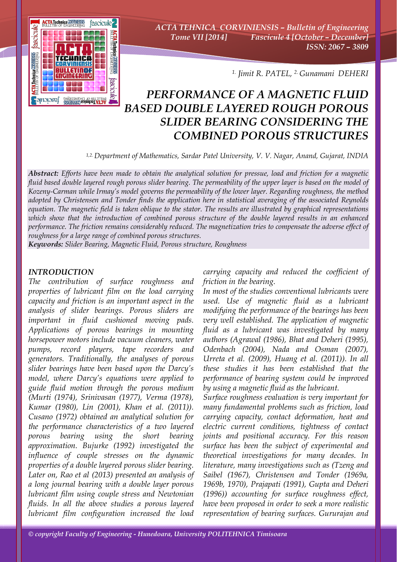

*ACTA TEHNICA CORVINIENSIS – Bulletin of Engineering Tome VII [2014] Fascicule 4 [October – December] ISSN: 2067 – 3809* 

*1. Jimit R. PATEL, 2. Gunamani DEHERI*

## *PERFORMANCE OF A MAGNETIC FLUID BASED DOUBLE LAYERED ROUGH POROUS SLIDER BEARING CONSIDERING THE COMBINED POROUS STRUCTURES*

*1,2. Department of Mathematics, Sardar Patel University, V. V. Nagar, Anand, Gujarat, INDIA*

*Abstract: Efforts have been made to obtain the analytical solution for pressue, load and friction for a magnetic fluid based double layered rough porous slider bearing. The permeability of the upper layer is based on the model of Kozeny-Carman while Irmay's model governs the permeability of the lower layer. Regarding roughness, the method adopted by Christensen and Tonder finds the application here in statistical averaging of the associated Reynolds equation. The magnetic field is taken oblique to the stator. The results are illustrated by graphical representations which show that the introduction of combined porous structure of the double layered results in an enhanced performance. The friction remains considerably reduced. The magnetization tries to compensate the adverse effect of roughness for a large range of combined porous structures.* 

*Keywords: Slider Bearing, Magnetic Fluid, Porous structure, Roughness*

## *INTRODUCTION*

*The contribution of surface roughness and properties of lubricant film on the load carrying capacity and friction is an important aspect in the analysis of slider bearings. Porous sliders are important in fluid cushioned moving pads. Applications of porous bearings in mounting horsepower motors include vacuum cleaners, water pumps, record players, tape recorders and generators. Traditionally, the analyses of porous slider bearings have been based upon the Darcy's model, where Darcy's equations were applied to guide fluid motion through the porous medium (Murti (1974), Srinivasan (1977), Verma (1978), Kumar (1980), Lin (2001), Khan et al. (2011)). Cusano (1972) obtained an analytical solution for the performance characteristics of a two layered porous bearing using the short bearing approximation. Bujurke (1992) investigated the influence of couple stresses on the dynamic properties of a double layered porous slider bearing. Later on, Rao et al (2013) presented an analysis of a long journal bearing with a double layer porous lubricant film using couple stress and Newtonian fluids. In all the above studies a porous layered lubricant film configuration increased the load* 

*carrying capacity and reduced the coefficient of friction in the bearing.* 

*In most of the studies conventional lubricants were used. Use of magnetic fluid as a lubricant modifying the performance of the bearings has been very well established. The application of magnetic fluid as a lubricant was investigated by many authors (Agrawal (1986), Bhat and Deheri (1995), Odenbach (2004), Nada and Osman (2007), Urreta et al. (2009), Huang et al. (2011)). In all these studies it has been established that the performance of bearing system could be improved by using a magnetic fluid as the lubricant.* 

*Surface roughness evaluation is very important for many fundamental problems such as friction, load carrying capacity, contact deformation, heat and electric current conditions, tightness of contact joints and positional accuracy. For this reason surface has been the subject of experimental and theoretical investigations for many decades. In literature, many investigations such as (Tzeng and Saibel (1967), Christensen and Tonder (1969a, 1969b, 1970), Prajapati (1991), Gupta and Deheri (1996)) accounting for surface roughness effect, have been proposed in order to seek a more realistic representation of bearing surfaces. Gururajan and*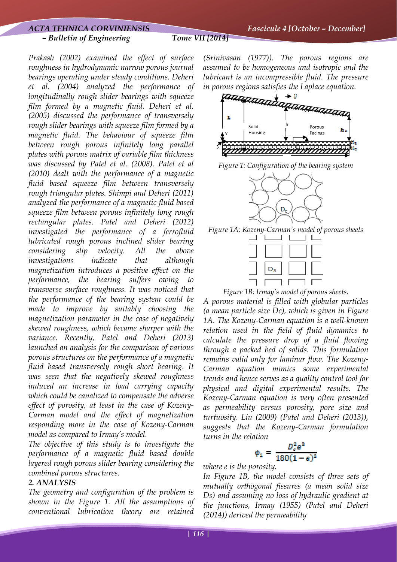*Prakash (2002) examined the effect of surface roughness in hydrodynamic narrow porous journal bearings operating under steady conditions. Deheri et al. (2004) analyzed the performance of longitudinally rough slider bearings with squeeze film formed by a magnetic fluid. Deheri et al. (2005) discussed the performance of transversely rough slider bearings with squeeze film formed by a magnetic fluid. The behaviour of squeeze film between rough porous infinitely long parallel plates with porous matrix of variable film thickness was discussed by Patel et al. (2008). Patel et al (2010) dealt with the performance of a magnetic fluid based squeeze film between transversely rough triangular plates. Shimpi and Deheri (2011) analyzed the performance of a magnetic fluid based squeeze film between porous infinitely long rough rectangular plates. Patel and Deheri (2012) investigated the performance of a ferrofluid lubricated rough porous inclined slider bearing considering slip velocity. All the above investigations indicate that although magnetization introduces a positive effect on the performance, the bearing suffers owing to transverse surface roughness. It was noticed that the performance of the bearing system could be made to improve by suitably choosing the magnetization parameter in the case of negatively skewed roughness, which became sharper with the variance. Recently, Patel and Deheri (2013) launched an analysis for the comparison of various porous structures on the performance of a magnetic fluid based transversely rough short bearing. It was seen that the negatively skewed roughness induced an increase in load carrying capacity which could be canalized to compensate the adverse effect of porosity, at least in the case of Kozeny-Carman model and the effect of magnetization responding more in the case of Kozeny-Carman model as compared to Irmay's model.* 

*The objective of this study is to investigate the performance of a magnetic fluid based double layered rough porous slider bearing considering the combined porous structures.* 

## *2. ANALYSIS*

*The geometry and configuration of the problem is shown in the Figure 1. All the assumptions of conventional lubrication theory are retained*  *(Srinivasan (1977)). The porous regions are assumed to be homogeneous and isotropic and the lubricant is an incompressible fluid. The pressure* 







*Figure 1A: Kozeny-Carman's model of porous sheets* 

| $D_{S}$ |  |
|---------|--|
|         |  |

*Figure 1B: Irmay's model of porous sheets.* 

*A porous material is filled with globular particles (a mean particle size Dc), which is given in Figure 1A. The Kozeny-Carman equation is a well-known relation used in the field of fluid dynamics to calculate the pressure drop of a fluid flowing through a packed bed of solids. This formulation remains valid only for laminar flow. The Kozeny-Carman equation mimics some experimental trends and hence serves as a quality control tool for physical and digital experimental results. The Kozeny-Carman equation is very often presented as permeability versus porosity, pore size and turtuosity. Liu (2009) (Patel and Deheri (2013)), suggests that the Kozeny-Carman formulation turns in the relation* 

$$
\phi_1 = \frac{D_c^2 e^2}{180(1 - e)^2}
$$

*where e is the porosity.* 

*In Figure 1B, the model consists of three sets of mutually orthogonal fissures (a mean solid size Ds) and assuming no loss of hydraulic gradient at the junctions, Irmay (1955) (Patel and Deheri (2014)) derived the permeability*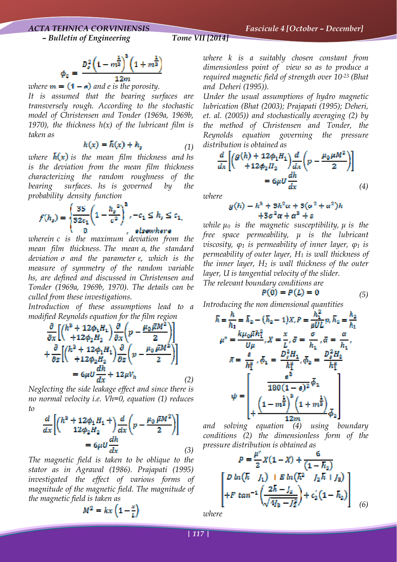$$
\phi_2 = \frac{D_s^2 \left(1 - m^{\frac{1}{3}}\right)^3 \left(1 + m^{\frac{1}{3}}\right)}{12m}
$$

*where*  $\mathbf{m} = (1 - \mathbf{e})$  and *e* is the porosity.

*It is assumed that the bearing surfaces are transversely rough. According to the stochastic model of Christensen and Tonder (1969a, 1969b,*  1970), the thickness  $h(x)$  of the lubricant film is *taken as* 

$$
h(x) = h(x) + h_s \tag{1}
$$

*where*  $\bar{h}(x)$  *is the mean film thickness and hs is the deviation from the mean film thickness characterizing the random roughness of the bearing surfaces. hs is governed by the probability density function* 

$$
f(h_s) = \begin{cases} \frac{35}{32c_1} \left( 1 - \frac{h_s^{2}}{c^2} \right)^3, -c_1 \le h_s \le c_1, \\ 0, \qquad \qquad \text{elsewhere} \end{cases}
$$

*wherein c is the maximum deviation from the mean film thickness. The mean α, the standard deviation σ and the parameter ε, which is the measure of symmetry of the random variable hs, are defined and discussed in Christensen and Tonder (1969a, 1969b, 1970). The details can be culled from these investigations.* 

*Introduction of these assumptions lead to a modified Reynolds equation for the film region* 

$$
\frac{\partial}{\partial x} \left[ \binom{h^2 + 12\phi_1 H_1}{+ 12\phi_2 H_2} \frac{\partial}{\partial x} \left( p - \frac{\mu_0 \bar{\mu} M^2}{2} \right) \right] \n+ \frac{\partial}{\partial z} \left[ \binom{h^2 + 12\phi_1 H_1}{+ 12\phi_2 H_2} \frac{\partial}{\partial z} \left( p - \frac{\mu_0 \bar{\mu} M^2}{2} \right) \right] \n= 6\mu U \frac{dh}{dx} + 12\mu V_h
$$
\n(2)

*Neglecting the side leakage effect and since there is no normal velocity i.e. Vh=0, equation (1) reduces to* 

$$
\frac{d}{dx}\left[\begin{pmatrix}h^2+12\phi_1H_1+\lambda\frac{d}{dx}\left(p-\frac{\mu_0}{2}\frac{\bar{\mu}M^2}{2}\right)\end{pmatrix}\right]
$$

$$
=6\mu U\frac{dh}{dx}
$$
\n(3)

*The magnetic field is taken to be oblique to the stator as in Agrawal (1986). Prajapati (1995) investigated the effect of various forms of magnitude of the magnetic field. The magnitude of the magnetic field is taken as* 

$$
M^2 = kx\left(1 - \frac{x}{k}\right)
$$

*where k is a suitably chosen constant from dimensionless point of view so as to produce a required magnetic field of strength over 10-23 (Bhat and Deheri (1995)).* 

*Under the usual assumptions of hydro magnetic lubrication (Bhat (2003); Prajapati (1995); Deheri, et. al. (2005)) and stochastically averaging (2) by the method of Christensen and Tonder, the Reynolds equation governing the pressure distribution is obtained as* 

$$
\frac{d}{dx}\left[\left(\frac{g(h) + 12\phi_1 H_1}{412\phi_2 H_2}\right)\frac{d}{dx}\left(p - \frac{\mu_0 \mu M^2}{2}\right)\right]
$$

$$
= 6\mu U \frac{dh}{dx}
$$
(4)

*where* 

$$
g(h) - h3 + 5h2 a + 5(a2 + a2)h
$$
  
+3a<sup>2</sup> a + a<sup>3</sup> + a

*while μ0 is the magnetic susceptibility, μ is the free space permeability, μ is the lubricant viscosity, φ1 is permeability of inner layer, φ1 is permeability of outer layer, H1 is wall thickness of the inner layer, H2 is wall thickness of the outer layer, U is tangential velocity of the slider. The relevant boundary conditions are* 

$$
P(0) = P(L) = 0 \tag{5}
$$

*Introducing the non dimensional quantities* 

$$
\begin{aligned}\n\bar{h} &= \frac{h}{h_1} = \bar{h}_2 - (\bar{h}_2 - 1)X_c P = \frac{h_1^2}{\mu UL} p_c \bar{h}_2 = \frac{h_2}{h_1} \\
\mu^* &= \frac{k\mu_0 \mu \bar{h}_1^2}{U\mu}, X = \frac{x}{L}, \bar{\sigma} = \frac{\sigma}{h_1}, \bar{\alpha} = \frac{\alpha}{h_1}, \\
\bar{\pi} &= \frac{s}{h_1^2}, \bar{\phi}_1 = \frac{D_c^2 H_1}{h_1^2}, \bar{\phi}_2 = \frac{D_s^2 H_2}{h_1^2} \\
\psi &= \begin{bmatrix}\n\frac{s^2}{180(1 - s)^2} \bar{\phi}_1 \\
\frac{(1 - m_2^2)^2 (1 + m_2^2)}{12m} \bar{\phi}_2\n\end{bmatrix}\n\end{aligned}
$$

*and solving equation (4) using boundary conditions (2) the dimensionless form of the pressure distribution is obtained as* 

$$
P = \frac{\mu^*}{2}X(1 - X) + \frac{6}{(1 - \overline{h}_2)}
$$
  

$$
\begin{bmatrix} D \ln(\overline{k} - I_1) + E \ln(\overline{k}^2 - I_2 \overline{k} + I_3) \\ + F \tan^{-1} \left( \frac{2\overline{k} - I_2}{\sqrt{4I_3 - I_2^2}} \right) + c_2(1 - \overline{h}_2) \end{bmatrix}
$$
 (6)

*where*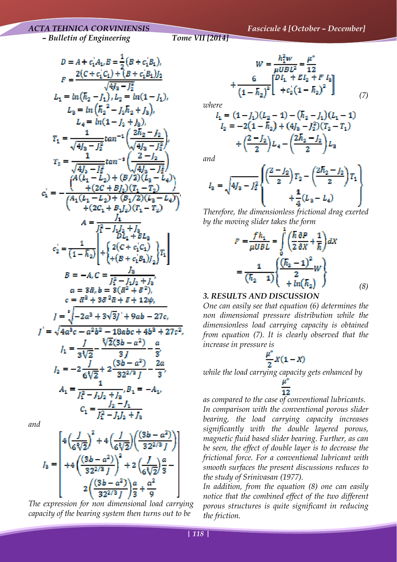## *ACTA TEHNICA CORVINIENSIS Fascicule 4 [October – December]*

 *– Bulletin of Engineering Tome VII [2014]*

$$
D = A + c_1A_1, E = \frac{1}{2}(B + c_1B_1),
$$
  
\n
$$
F = \frac{2(C + c_1C_1) + (B + c_1B_1)I_2}{\sqrt{4f_3 - f_2^2}}
$$
  
\n
$$
L_1 = \ln(h_2 - f_1), L_2 = \ln(1 - f_1),
$$
  
\n
$$
L_2 = \ln(h_2^2 - f_2h_2 + f_3),
$$
  
\n
$$
L_3 = \ln(1 - f_2 + f_3),
$$
  
\n
$$
T_1 = \frac{1}{\sqrt{4f_3 - f_2^2}} \tan^{-1} \left(\frac{2h_2 - f_2}{\sqrt{4f_3 - f_2^2}}\right),
$$
  
\n
$$
T_2 = \frac{1}{\sqrt{4f_3 - f_2^2}} \tan^{-1} \left(\frac{2 - f_2}{\sqrt{4f_3 - f_2^2}}\right),
$$
  
\n
$$
T_3 = -\frac{1}{\sqrt{4f_3 - f_3^2}} \tan^{-1} \left(\frac{2 - f_2}{\sqrt{4f_3 - f_2^2}}\right),
$$
  
\n
$$
T_4 = -\frac{1}{\sqrt{4f_4 - f_2^2}} \tan^{-1} \left(\frac{2 - f_2}{\sqrt{4f_3 - f_2^2}}\right),
$$
  
\n
$$
T_5 = -\frac{1}{\sqrt{4(2f_1 - f_2) + (B_1/2)(f_3 - f_4)}}\right),
$$
  
\n
$$
T_6 = -\frac{f_2}{(4 - f_2)^2} \left| \frac{1}{\sqrt{4(f_2 - f_2^2)}}\right|
$$
  
\n
$$
T_7 = \frac{1}{\sqrt{4(2f_1 - f_2)}} \left| \frac{1}{\sqrt{4(f_2 - f_2^2)}}\right|
$$
  
\n
$$
T_8 = -A, C = \frac{1}{f_1^2 - f_1f_2 + f_3},
$$
  
\n
$$
C_2 = \frac{1}{(1 - \bar{h}_2)} \left| \frac{1}{\sqrt{4(f_2 + f_2^2)}}\right|
$$
  
\n
$$
T_6 = \frac{1}{\sqrt
$$

*and* 

$$
I_3 = \begin{bmatrix} 4\left(\frac{f}{6\sqrt[3]{2}}\right)^2 + 4\left(\frac{f}{6\sqrt[3]{2}}\right)\left(\frac{(3b-a^2)}{32^{2/3} J}\right) \\ + 4\left(\frac{(3b-a^2)}{32^{2/3} J}\right)^2 + 2\left(\frac{f}{6\sqrt[3]{2}}\right)\frac{a}{3} - \\ 2\left(\frac{(3b-a^2)}{32^{2/3} J}\right)\frac{a}{3} + \frac{a^2}{9} \end{bmatrix}
$$

*The expression for non dimensional load carrying capacity of the bearing system then turns out to be* 

$$
W = \frac{h_1^2 w}{\mu U B L^2} = \frac{\mu^*}{12}
$$
  
+ 
$$
\frac{6}{(1 - \bar{h}_2)^2} \left[ \frac{D I_1 + E I_2 + F I_3}{+ c_2 (1 - \bar{h}_2)^2} \right]
$$
 (7)

*where* 

$$
I_1 = (1 - J_1)(L_2 - 1) - (h_2 - J_1)(L_1 - 1)
$$
  
\n
$$
I_2 = -2(1 - h_2) + (4J_2 - J_2^2)(T_2 - T_1)
$$
  
\n
$$
+ \left(\frac{2 - J_2}{2}\right)L_4 - \left(\frac{2h_2 - J_2}{2}\right)L_2
$$

*and* 

$$
I_2 = \sqrt{4I_2 - I_2^2} \left\{ \frac{\left(\frac{2 - I_2}{2}\right)T_2 - \left(\frac{2\overline{h}_2 - I_2}{2}\right)T_1}{+\frac{1}{4}(L_2 - L_4)} \right\}
$$

*Therefore, the dimensionless frictional drag exerted by the moving slider takes the form* 

$$
F = \frac{fh_1}{\mu UBL} = \int_0^1 \left(\frac{\hbar}{2}\frac{\partial P}{\partial X} + \frac{1}{\hbar}\right)dX
$$

$$
= \frac{1}{(\hbar_2 - 1)}\left\{\frac{(\hbar_2 - 1)^2}{2}W\right\}
$$

$$
= \frac{1}{(\hbar_2 - 1)}\left\{\frac{(\hbar_2 - 1)^2}{2}W\right\}
$$
(8)

## *3. RESULTS AND DISCUSSION*

*One can easily see that equation (6) determines the non dimensional pressure distribution while the dimensionless load carrying capacity is obtained from equation (7). It is clearly observed that the increase in pressure is* 

$$
\frac{\mu^*}{2}X(1-X)
$$

*while the load carrying capacity gets enhanced by* 

*as compared to the case of conventional lubricants. In comparison with the conventional porous slider bearing, the load carrying capacity increases significantly with the double layered porous, magnetic fluid based slider bearing. Further, as can be seen, the effect of double layer is to decrease the frictional force. For a conventional lubricant with smooth surfaces the present discussions reduces to the study of Srinivasan (1977).* 

*In addition, from the equation (8) one can easily notice that the combined effect of the two different porous structures is quite significant in reducing the friction.*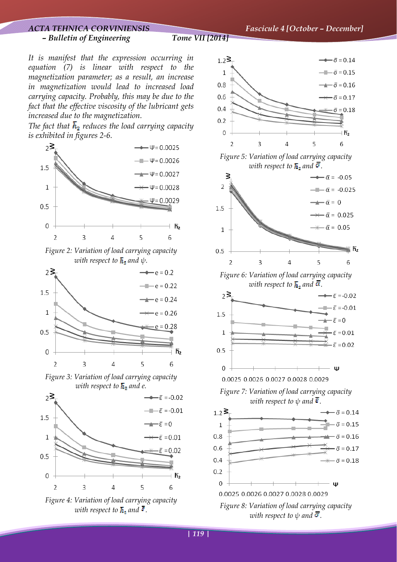*ACTA TEHNICA CORVINIENSIS Fascicule 4 [October – December]*

*It is manifest that the expression occurring in equation (7) is linear with respect to the magnetization parameter; as a result, an increase in magnetization would lead to increased load carrying capacity. Probably, this may be due to the fact that the effective viscosity of the lubricant gets increased due to the magnetization.* 

The fact that  $\overline{h}_2$  reduces the load carrying capacity *is exhibited in figures 2-6.*



*Figure 2: Variation of load carrying capacity with respect to*  $\overline{h}_2$  *and*  $\psi$ *.* 



*Figure 3: Variation of load carrying capacity with respect to*  $\overline{h}_2$  and *e*.



*Figure 4: Variation of load carrying capacity with respect to*  $\overline{h}_z$  and  $\overline{s}$ .

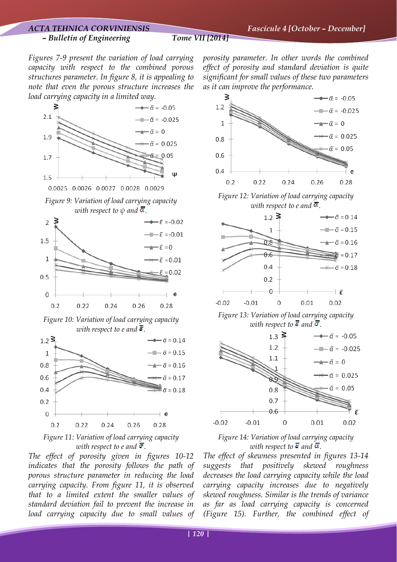## *ACTA TEHNICA CORVINIENSIS Fascicule 4 [October – December] – Bulletin of Engineering Tome VII [2014]*

*Figures 7-9 present the variation of load carrying capacity with respect to the combined porous structures parameter. In figure 8, it is appealing to note that even the porous structure increases the load carrying capacity in a limited way.*





*The effect of porosity given in figures 10-12 indicates that the porosity follows the path of porous structure parameter in reducing the load carrying capacity. From figure 11, it is observed that to a limited extent the smaller values of standard deviation fail to prevent the increase in load carrying capacity due to small values of*  *porosity parameter. In other words the combined effect of porosity and standard deviation is quite significant for small values of these two parameters as it can improve the performance.*





*Figure 13: Variation of load carrying capacity with respect to*  $\overline{g}$  and  $\overline{\sigma}$ .



*Figure 14: Variation of load carrying capacity with respect to*  $\overline{\epsilon}$  and  $\overline{\alpha}$ .

*The effect of skewness presented in figures 13-14 suggests that positively skewed roughness decreases the load carrying capacity while the load carrying capacity increases due to negatively skewed roughness. Similar is the trends of variance as far as load carrying capacity is concerned (Figure 15). Further, the combined effect of*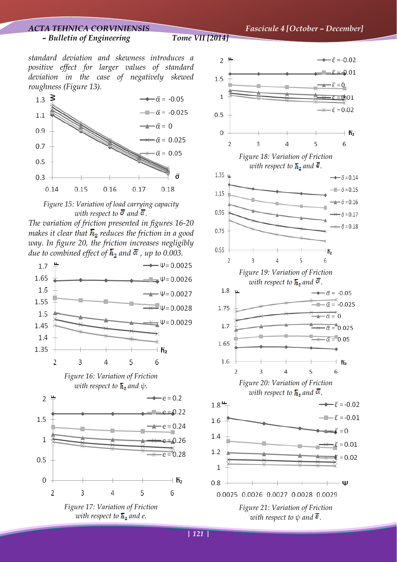*ACTA TEHNICA CORVINIENSIS Fascicule 4 [October – December]*

*standard deviation and skewness introduces a positive effect for larger values of standard deviation in the case of negatively skewed roughness (Figure 13).*





*The variation of friction presented in figures 16-20 makes it clear that*  $\overline{h}_2$  *reduces the friction in a good way. In figure 20, the friction increases negligibly due to combined effect of*  $\overline{h}_1$  *and*  $\overline{\alpha}$  *, up to 0.003.* 



*with respect to*  $\overline{h}$ *, and e.* 

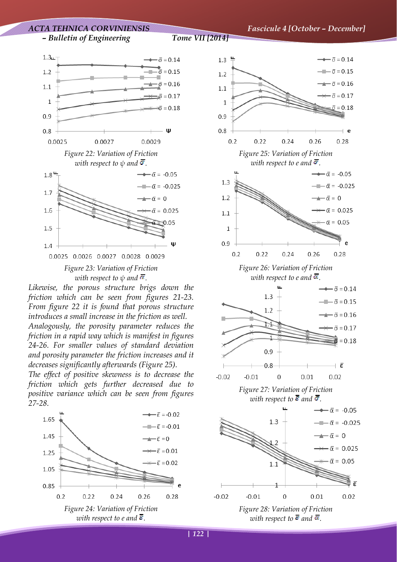

*Likewise, the porous structure brigs down the friction which can be seen from figures 21-23. From figure 22 it is found that porous structure introduces a small increase in the friction as well. Analogously, the porosity parameter reduces the friction in a rapid way which is manifest in figures 24-26. For smaller values of standard deviation and porosity parameter the friction increases and it decreases significantly afterwards (Figure 25).* 

*The effect of positive skewness is to decrease the friction which gets further decreased due to positive variance which can be seen from figures 27-28.* 





*with respect to*  $\overline{e}$  and  $\overline{\alpha}$ .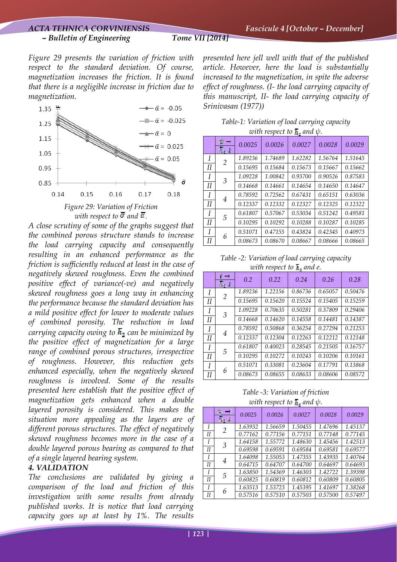*Figure 29 presents the variation of friction with respect to the standard deviation. Of course, magnetization increases the friction. It is found that there is a negligible increase in friction due to magnetization.* 



*A close scrutiny of some of the graphs suggest that the combined porous structure stands to increase the load carrying capacity and consequently resulting in an enhanced performance as the friction is sufficiently reduced at least in the case of negatively skewed roughness. Even the combined positive effect of variance(-ve) and negatively skewed roughness goes a long way in enhancing the performance because the standard deviation has a mild positive effect for lower to moderate values of combined porosity. The reduction in load carrying capacity owing to*  $\overline{h}_1$  *can be minimized by the positive effect of magnetization for a large range of combined porous structures, irrespective of roughness. However, this reduction gets enhanced especially, when the negatively skewed roughness is involved. Some of the results presented here establish that the positive effect of magnetization gets enhanced when a double layered porosity is considered. This makes the situation more appealing as the layers are of different porous structures. The effect of negatively skewed roughness becomes more in the case of a double layered porous bearing as compared to that of a single layered bearing system.* 

## *4. VALIDATION*

*The conclusions are validated by giving a comparison of the load and friction of this investigation with some results from already published works. It is notice that load carrying capacity goes up at least by 1%. The results* 

*presented here jell well with that of the published article. However, here the load is substantially increased to the magnetization, in spite the adverse effect of roughness. (I- the load carrying capacity of this manuscript, II- the load carrying capacity of Srinivasan (1977))* 

| $\omega$ and respect to $\mu$ , and $\psi$ . |                                |         |         |         |         |         |
|----------------------------------------------|--------------------------------|---------|---------|---------|---------|---------|
|                                              | Ŵ<br>- 9<br>$\overline{h}_2$ J | 0.0025  | 0.0026  | 0.0027  | 0.0028  | 0.0029  |
| I                                            | 2                              | 1.89236 | 1.74689 | 1.62282 | 1.56764 | 1.51645 |
| II                                           |                                | 0.15695 | 0.15684 | 0.15673 | 0.15667 | 0.15662 |
| I                                            | 3                              | 1.09228 | 1.00842 | 0.93700 | 0.90526 | 0.87583 |
| II                                           |                                | 0.14668 | 0.14661 | 0.14654 | 0.14650 | 0.14647 |
| I                                            |                                | 0.78592 | 0.72562 | 0.67431 | 0.65151 | 0.63036 |
| II                                           | 4                              | 0.12337 | 0.12332 | 0.12327 | 0.12325 | 0.12322 |
| I                                            | 5                              | 0.61807 | 0.57067 | 0.53034 | 0.51242 | 0.49581 |
| II                                           |                                | 0.10295 | 0.10292 | 0.10288 | 0.10287 | 0.10285 |
| I                                            | 6                              | 0.51071 | 0.47155 | 0.43824 | 0.42345 | 0.40973 |
| II                                           |                                | 0.08673 | 0.08670 | 0.08667 | 0.08666 | 0.08665 |

*Table-1: Variation of load carrying capacity with respect to*  $\overline{h}$ *. and*  $\psi$ 

*Table -2: Variation of load carrying capacity with respect to h, and e.* 

|    | $\theta \rightarrow$<br>$\overline{h}_2$ J | 0.2     | 0.22    | 0.24    | 0.26    | 0.28    |
|----|--------------------------------------------|---------|---------|---------|---------|---------|
| I  | 2                                          | 1.89236 | 1.22156 | 0.86736 | 0.65057 | 0.50476 |
| II |                                            | 0.15695 | 0.15620 | 0.15524 | 0.15405 | 0.15259 |
| I  | 3                                          | 1.09228 | 0.70635 | 0.50281 | 0.37809 | 0.29406 |
| Н  |                                            | 0.14668 | 0.14620 | 0.14558 | 0.14481 | 0.14387 |
| I  | 4                                          | 0.78592 | 0.50868 | 0.36254 | 0.27294 | 0.21253 |
| II |                                            | 0.12337 | 0.12304 | 0.12263 | 0.12212 | 0.12148 |
| I  | 5                                          | 0.61807 | 0.40023 | 0.28545 | 0.21505 | 0.16757 |
| Н  |                                            | 0.10295 | 0.10272 | 0.10243 | 0.10206 | 0.10161 |
| I  | 6                                          | 0.51071 | 0.33081 | 0.23604 | 0.17791 | 0.13868 |
| II |                                            | 0.08673 | 0.08655 | 0.08633 | 0.08606 | 0.08572 |

*Table -3: Variation of friction with respect to*  $\overline{h}$ *. and*  $\psi$ 

| $\alpha$ in respect to $\mathbf{r}_{\mathbf{q}}$ and $\phi$ . |                |         |         |         |         |         |
|---------------------------------------------------------------|----------------|---------|---------|---------|---------|---------|
|                                                               | ŵ              | 0.0025  | 0.0026  | 0.0027  | 0.0028  | 0.0029  |
| I                                                             | $\mathfrak{D}$ | 1.63932 | 1.56659 | 1.50455 | 1.47696 | 1.45137 |
| II                                                            |                | 0.77162 | 0.77156 | 0.77151 | 0.77148 | 0.77145 |
| $\boldsymbol{I}$                                              | 3              | 1.64158 | 1.55772 | 1.48630 | 1.45456 | 1.42513 |
| II                                                            |                | 0.69598 | 0.69591 | 0.69584 | 0.69581 | 0.69577 |
| $\overline{I}$                                                | 4              | 1.64098 | 1.55053 | 1.47355 | 1.43935 | 1.40764 |
| II                                                            |                | 0.64715 | 0.64707 | 0.64700 | 0.64697 | 0.64693 |
| $\boldsymbol{I}$                                              | 5              | 1.63850 | 1.54369 | 1.46303 | 1.42722 | 1.39398 |
| II                                                            |                | 0.60825 | 0.60819 | 0.60812 | 0.60809 | 0.60805 |
| $\overline{I}$                                                | 6              | 1.63513 | 1.53723 | 1.45395 | 1.41697 | 1.38268 |
| II                                                            |                | 0.57516 | 0.57510 | 0.57503 | 0.57500 | 0.57497 |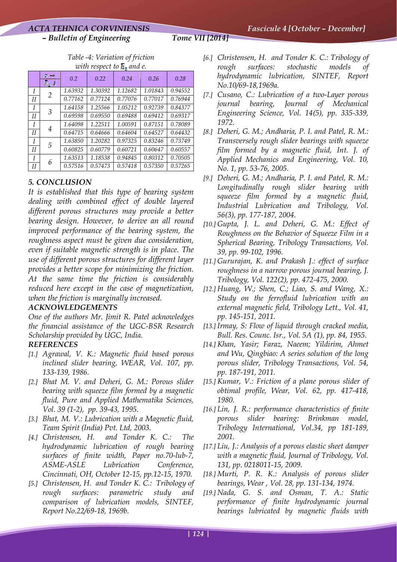*Table -4: Variation of friction with respect to*  $\overline{h}$ *, and e.* 

|    | er i B<br>$\overline{h}_2$ J | 0.2     | 0.22    | 0.24    | 0.26    | 0.28    |
|----|------------------------------|---------|---------|---------|---------|---------|
| I  | 2                            | 1.63932 | 1.30392 | 1.12682 | 1.01843 | 0.94552 |
| Н  |                              | 0.77162 | 0.77124 | 0.77076 | 0.77017 | 0.76944 |
| I  | 3                            | 1.64158 | 1.25566 | 1.05212 | 0.92739 | 0.84377 |
| Н  |                              | 0.69598 | 0.69550 | 0.69488 | 0.69412 | 0.69317 |
|    | 4                            | 1.64098 | 1.22511 | 1.00591 | 0.87151 | 0.78089 |
| Н  |                              | 0.64715 | 0.64666 | 0.64604 | 0.64527 | 0.64432 |
| I  | 5                            | 1.63850 | 1.20282 | 0.97325 | 0.83246 | 0.73749 |
| II |                              | 0.60825 | 0.60779 | 0.60721 | 0.60647 | 0.60557 |
|    | 6                            | 1.63513 | 1.18538 | 0.94845 | 0.80312 | 0.70505 |
| Н  |                              | 0.57516 | 0.57473 | 0.57418 | 0.57350 | 0.57265 |

## *5. CONCLUSION*

*It is established that this type of bearing system dealing with combined effect of double layered different porous structures may provide a better bearing design. However, to derive an all round improved performance of the bearing system, the roughness aspect must be given due consideration, even if suitable magnetic strength is in place. The use of different porous structures for different layer provides a better scope for minimizing the friction. At the same time the friction is considerably reduced here except in the case of magnetization, when the friction is marginally increased.* 

## *ACKNOWLEDGEMENTS*

*One of the authors Mr. Jimit R. Patel acknowledges the financial assistance of the UGC-BSR Research Scholarship provided by UGC, India.* 

## *REFERENCES*

- *[1.] Agrawal, V. K.: Magnetic fluid based porous inclined slider bearing, WEAR, Vol. 107, pp. 133-139, 1986.*
- *[2.] Bhat M. V. and Deheri, G. M.: Porous slider bearing with squeeze film formed by a magnetic fluid, Pure and Applied Mathematika Sciences, Vol. 39 (1-2), pp. 39-43, 1995.*
- *[3.] Bhat, M. V.: Lubrication with a Magnetic fluid, Team Spirit (India) Pvt. Ltd, 2003.*
- *[4.] Christensen, H. and Tonder K. C.: The hydrodynamic lubrication of rough bearing surfaces of finite width, Paper no.70-lub-7, ASME-ASLE Lubrication Conference, Cincinnati, OH, October 12-15, pp.12-15, 1970.*
- *[5.] Christensen, H. and Tonder K. C.: Tribology of rough surfaces: parametric study and comparison of lubrication models, SINTEF, Report No.22/69-18, 1969b.*
- *[6.] Christensen, H. and Tonder K. C.: Tribology of rough surfaces: stochastic models of hydrodynamic lubrication, SINTEF, Report No.10/69-18,1969a.*
- *[7.] Cusano, C.: Lubrication of a two-Layer porous journal bearing, Journal of Mechanical Engineering Science, Vol. 14(5), pp. 335-339, 1972.*
- *[8.] Deheri, G. M.; Andharia, P. I. and Patel, R. M.: Transversely rough slider bearings with squeeze film formed by a magnetic fluid, Int. J. of Applied Mechanics and Engineering, Vol. 10, No. 1, pp. 53-76, 2005.*
- *[9.] Deheri, G. M.; Andharia, P. I. and Patel, R. M.: Longitudinally rough slider bearing with squeeze film formed by a magnetic fluid, Industrial Lubrication and Tribology, Vol. 56(3), pp. 177-187, 2004.*
- *[10.] Gupta, J. L. and Deheri, G. M.: Effect of Roughness on the Behavior of Squeeze Film in a Spherical Bearing, Tribology Transactions, Vol. 39, pp. 99-102, 1996.*
- *[11.] Gururajan, K. and Prakash J.: effect of surface roughness in a narrow porous journal bearing, J. Tribology, Vol. 122(2), pp. 472-475, 2000.*
- *[12.] Huang, W.; Shen, C.; Liao, S. and Wang, X.: Study on the ferrofluid lubrication with an external magnetic field, Tribology Lett., Vol. 41, pp. 145-151, 2011.*
- *[13.] Irmay, S: Flow of liquid through cracked media, Bull. Res. Counc. Isr., Vol. 5A (1), pp. 84, 1955.*
- *[14.] Khan, Yasir; Faraz, Naeem; Yildirim, Ahmet and Wu, Qingbiao: A series solution of the long porous slider, Tribology Transactions, Vol. 54, pp. 187-191, 2011.*
- *[15.] Kumar, V.: Friction of a plane porous slider of obtimal profile, Wear, Vol. 62, pp. 417-418, 1980.*
- *[16.] Lin, J. R.: performance characteristics of finite porous slider bearing: Brinkman model, Tribology International, Vol.34, pp 181-189, 2001.*
- *[17.] Liu, J.: Analysis of a porous elastic sheet damper with a magnetic fluid, Journal of Tribology, Vol. 131, pp. 0218011-15, 2009.*
- *[18.] Murti, P. R. K.: Analysis of porous slider bearings, Wear , Vol. 28, pp. 131-134, 1974.*
- *[19.] Nada, G. S. and Osman, T. A.: Static performance of finite hydrodynamic journal bearings lubricated by magnetic fluids with*